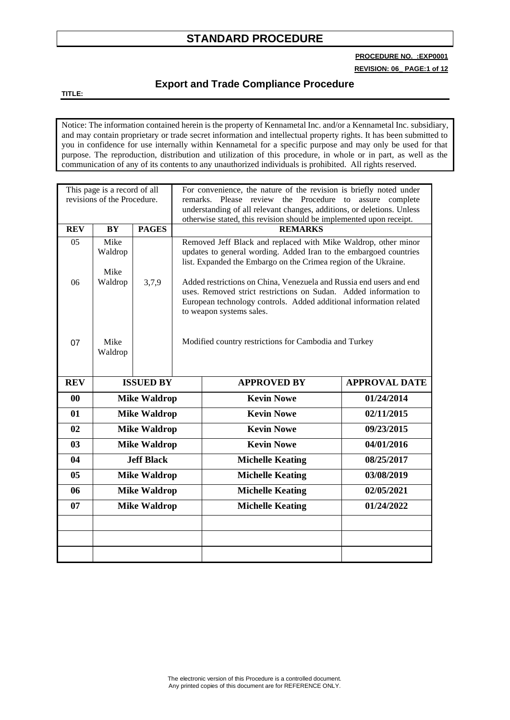**PROCEDURE NO. :EXP0001**

**REVISION: 06\_ PAGE:1 of 12**

#### **Export and Trade Compliance Procedure**

**TITLE:**

Notice: The information contained herein is the property of Kennametal Inc. and/or a Kennametal Inc. subsidiary, and may contain proprietary or trade secret information and intellectual property rights. It has been submitted to you in confidence for use internally within Kennametal for a specific purpose and may only be used for that purpose. The reproduction, distribution and utilization of this procedure, in whole or in part, as well as the communication of any of its contents to any unauthorized individuals is prohibited. All rights reserved.

| This page is a record of all<br>revisions of the Procedure. |                         |                     | For convenience, the nature of the revision is briefly noted under<br>remarks. Please review the Procedure to assure complete<br>understanding of all relevant changes, additions, or deletions. Unless<br>otherwise stated, this revision should be implemented upon receipt. |                                                                                                                                                                                                        |                      |
|-------------------------------------------------------------|-------------------------|---------------------|--------------------------------------------------------------------------------------------------------------------------------------------------------------------------------------------------------------------------------------------------------------------------------|--------------------------------------------------------------------------------------------------------------------------------------------------------------------------------------------------------|----------------------|
| <b>REV</b>                                                  | <b>BY</b>               | <b>PAGES</b>        | <b>REMARKS</b>                                                                                                                                                                                                                                                                 |                                                                                                                                                                                                        |                      |
| 05                                                          | Mike<br>Waldrop<br>Mike |                     |                                                                                                                                                                                                                                                                                | Removed Jeff Black and replaced with Mike Waldrop, other minor<br>updates to general wording. Added Iran to the embargoed countries<br>list. Expanded the Embargo on the Crimea region of the Ukraine. |                      |
| 06                                                          | Waldrop                 | 3,7,9               | Added restrictions on China, Venezuela and Russia end users and end<br>uses. Removed strict restrictions on Sudan. Added information to<br>European technology controls. Added additional information related<br>to weapon systems sales.                                      |                                                                                                                                                                                                        |                      |
| 07                                                          | Mike<br>Waldrop         |                     |                                                                                                                                                                                                                                                                                | Modified country restrictions for Cambodia and Turkey                                                                                                                                                  |                      |
| <b>REV</b>                                                  | <b>ISSUED BY</b>        |                     |                                                                                                                                                                                                                                                                                | <b>APPROVED BY</b>                                                                                                                                                                                     | <b>APPROVAL DATE</b> |
| 00                                                          | <b>Mike Waldrop</b>     |                     |                                                                                                                                                                                                                                                                                | <b>Kevin Nowe</b>                                                                                                                                                                                      | 01/24/2014           |
| 01                                                          | <b>Mike Waldrop</b>     |                     |                                                                                                                                                                                                                                                                                | <b>Kevin Nowe</b>                                                                                                                                                                                      | 02/11/2015           |
| 02                                                          | <b>Mike Waldrop</b>     |                     |                                                                                                                                                                                                                                                                                | <b>Kevin Nowe</b>                                                                                                                                                                                      | 09/23/2015           |
| 03                                                          | <b>Mike Waldrop</b>     |                     |                                                                                                                                                                                                                                                                                | <b>Kevin Nowe</b>                                                                                                                                                                                      | 04/01/2016           |
| 04                                                          | <b>Jeff Black</b>       |                     |                                                                                                                                                                                                                                                                                | <b>Michelle Keating</b>                                                                                                                                                                                | 08/25/2017           |
| 0 <sub>5</sub>                                              | <b>Mike Waldrop</b>     |                     |                                                                                                                                                                                                                                                                                | <b>Michelle Keating</b>                                                                                                                                                                                | 03/08/2019           |
| 06                                                          | <b>Mike Waldrop</b>     |                     |                                                                                                                                                                                                                                                                                | <b>Michelle Keating</b>                                                                                                                                                                                | 02/05/2021           |
| 07                                                          |                         | <b>Mike Waldrop</b> |                                                                                                                                                                                                                                                                                | <b>Michelle Keating</b>                                                                                                                                                                                | 01/24/2022           |
|                                                             |                         |                     |                                                                                                                                                                                                                                                                                |                                                                                                                                                                                                        |                      |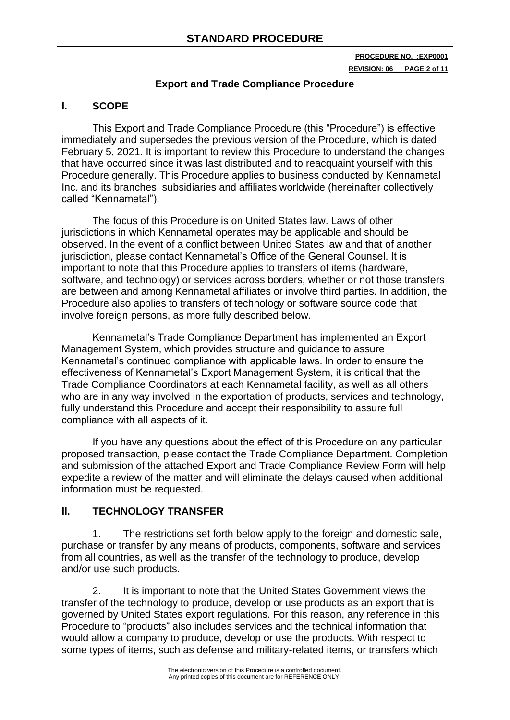**PROCEDURE NO. :EXP0001 REVISION: 06\_\_ PAGE:2 of 11**

#### **Export and Trade Compliance Procedure**

# **I. SCOPE**

This Export and Trade Compliance Procedure (this "Procedure") is effective immediately and supersedes the previous version of the Procedure, which is dated February 5, 2021. It is important to review this Procedure to understand the changes that have occurred since it was last distributed and to reacquaint yourself with this Procedure generally. This Procedure applies to business conducted by Kennametal Inc. and its branches, subsidiaries and affiliates worldwide (hereinafter collectively called "Kennametal").

The focus of this Procedure is on United States law. Laws of other jurisdictions in which Kennametal operates may be applicable and should be observed. In the event of a conflict between United States law and that of another jurisdiction, please contact Kennametal's Office of the General Counsel. It is important to note that this Procedure applies to transfers of items (hardware, software, and technology) or services across borders, whether or not those transfers are between and among Kennametal affiliates or involve third parties. In addition, the Procedure also applies to transfers of technology or software source code that involve foreign persons, as more fully described below.

Kennametal's Trade Compliance Department has implemented an Export Management System, which provides structure and guidance to assure Kennametal's continued compliance with applicable laws. In order to ensure the effectiveness of Kennametal's Export Management System, it is critical that the Trade Compliance Coordinators at each Kennametal facility, as well as all others who are in any way involved in the exportation of products, services and technology, fully understand this Procedure and accept their responsibility to assure full compliance with all aspects of it.

If you have any questions about the effect of this Procedure on any particular proposed transaction, please contact the Trade Compliance Department. Completion and submission of the attached Export and Trade Compliance Review Form will help expedite a review of the matter and will eliminate the delays caused when additional information must be requested.

#### **II. TECHNOLOGY TRANSFER**

1. The restrictions set forth below apply to the foreign and domestic sale, purchase or transfer by any means of products, components, software and services from all countries, as well as the transfer of the technology to produce, develop and/or use such products.

2. It is important to note that the United States Government views the transfer of the technology to produce, develop or use products as an export that is governed by United States export regulations. For this reason, any reference in this Procedure to "products" also includes services and the technical information that would allow a company to produce, develop or use the products. With respect to some types of items, such as defense and military-related items, or transfers which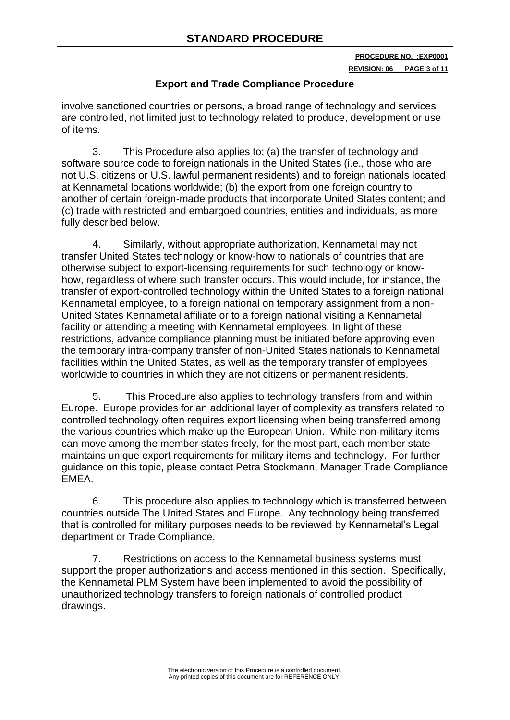**PROCEDURE NO. :EXP0001**

#### **REVISION: 06\_\_ PAGE:3 of 11**

### **Export and Trade Compliance Procedure**

involve sanctioned countries or persons, a broad range of technology and services are controlled, not limited just to technology related to produce, development or use of items.

3. This Procedure also applies to; (a) the transfer of technology and software source code to foreign nationals in the United States (i.e., those who are not U.S. citizens or U.S. lawful permanent residents) and to foreign nationals located at Kennametal locations worldwide; (b) the export from one foreign country to another of certain foreign-made products that incorporate United States content; and (c) trade with restricted and embargoed countries, entities and individuals, as more fully described below.

4. Similarly, without appropriate authorization, Kennametal may not transfer United States technology or know-how to nationals of countries that are otherwise subject to export-licensing requirements for such technology or knowhow, regardless of where such transfer occurs. This would include, for instance, the transfer of export-controlled technology within the United States to a foreign national Kennametal employee, to a foreign national on temporary assignment from a non-United States Kennametal affiliate or to a foreign national visiting a Kennametal facility or attending a meeting with Kennametal employees. In light of these restrictions, advance compliance planning must be initiated before approving even the temporary intra-company transfer of non-United States nationals to Kennametal facilities within the United States, as well as the temporary transfer of employees worldwide to countries in which they are not citizens or permanent residents.

5. This Procedure also applies to technology transfers from and within Europe. Europe provides for an additional layer of complexity as transfers related to controlled technology often requires export licensing when being transferred among the various countries which make up the European Union. While non-military items can move among the member states freely, for the most part, each member state maintains unique export requirements for military items and technology. For further guidance on this topic, please contact Petra Stockmann, Manager Trade Compliance EMEA.

6. This procedure also applies to technology which is transferred between countries outside The United States and Europe. Any technology being transferred that is controlled for military purposes needs to be reviewed by Kennametal's Legal department or Trade Compliance.

7. Restrictions on access to the Kennametal business systems must support the proper authorizations and access mentioned in this section. Specifically, the Kennametal PLM System have been implemented to avoid the possibility of unauthorized technology transfers to foreign nationals of controlled product drawings.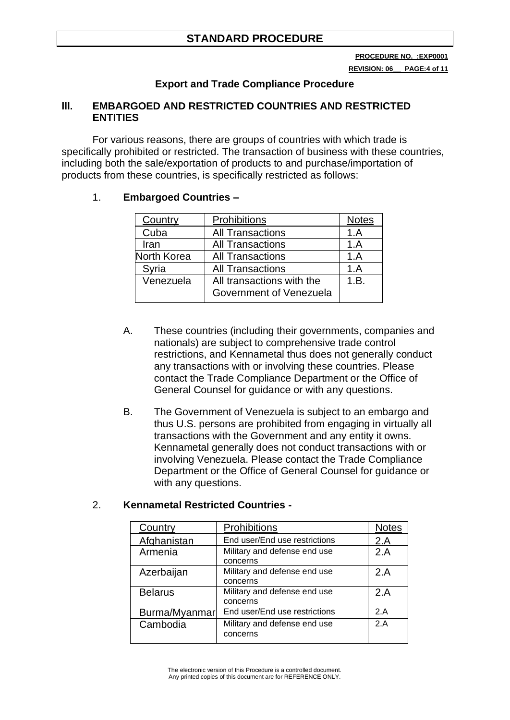**REVISION: 06\_\_ PAGE:4 of 11**

# **Export and Trade Compliance Procedure**

#### **III. EMBARGOED AND RESTRICTED COUNTRIES AND RESTRICTED ENTITIES**

For various reasons, there are groups of countries with which trade is specifically prohibited or restricted. The transaction of business with these countries, including both the sale/exportation of products to and purchase/importation of products from these countries, is specifically restricted as follows:

#### 1. **Embargoed Countries –**

| Country     | Prohibitions                                         | <b>Notes</b> |
|-------------|------------------------------------------------------|--------------|
| Cuba        | <b>All Transactions</b>                              | 1.A          |
| Iran        | <b>All Transactions</b>                              | 1.A          |
| North Korea | <b>All Transactions</b>                              | 1.A          |
| Syria       | <b>All Transactions</b>                              | 1.A          |
| Venezuela   | All transactions with the<br>Government of Venezuela | 1.B.         |

- A. These countries (including their governments, companies and nationals) are subject to comprehensive trade control restrictions, and Kennametal thus does not generally conduct any transactions with or involving these countries. Please contact the Trade Compliance Department or the Office of General Counsel for guidance or with any questions.
- B. The Government of Venezuela is subject to an embargo and thus U.S. persons are prohibited from engaging in virtually all transactions with the Government and any entity it owns. Kennametal generally does not conduct transactions with or involving Venezuela. Please contact the Trade Compliance Department or the Office of General Counsel for guidance or with any questions.

#### 2. **Kennametal Restricted Countries -**

| Country        | Prohibitions                             | <b>Notes</b> |
|----------------|------------------------------------------|--------------|
| Afghanistan    | End user/End use restrictions            | 2.A          |
| Armenia        | Military and defense end use<br>concerns | 2.A          |
| Azerbaijan     | Military and defense end use<br>concerns | 2.A          |
| <b>Belarus</b> | Military and defense end use<br>concerns | 2.A          |
| Burma/Myanmar  | End user/End use restrictions            | 2.A          |
| Cambodia       | Military and defense end use<br>concerns | 2A           |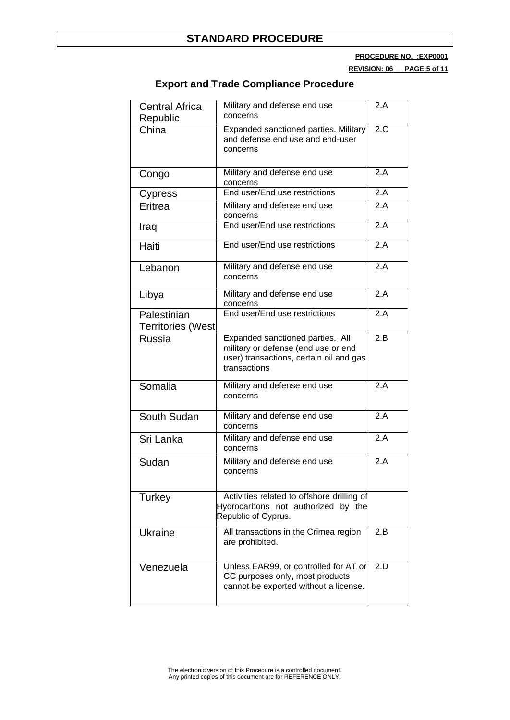**PROCEDURE NO. :EXP0001**

**REVISION: 06\_\_ PAGE:5 of 11**

| <b>Central Africa</b><br>Republic       | Military and defense end use<br>concerns                                                                                           | 2.A               |
|-----------------------------------------|------------------------------------------------------------------------------------------------------------------------------------|-------------------|
| China                                   | Expanded sanctioned parties. Military<br>and defense end use and end-user<br>concerns                                              | 2.C               |
| Congo                                   | Military and defense end use<br>concerns                                                                                           | 2.A               |
| Cypress                                 | End user/End use restrictions                                                                                                      | 2.A               |
| Eritrea                                 | Military and defense end use<br>concerns                                                                                           | 2.A               |
| Iraq                                    | End user/End use restrictions                                                                                                      | 2.A               |
| Haiti                                   | End user/End use restrictions                                                                                                      | 2.A               |
| Lebanon                                 | Military and defense end use<br>concerns                                                                                           | 2.A               |
| Libya                                   | Military and defense end use<br>concerns                                                                                           | 2.A               |
| Palestinian<br><b>Territories (West</b> | End user/End use restrictions                                                                                                      | $\overline{2}$ .A |
| <b>Russia</b>                           | Expanded sanctioned parties. All<br>military or defense (end use or end<br>user) transactions, certain oil and gas<br>transactions | 2.B               |
| Somalia                                 | Military and defense end use<br>concerns                                                                                           | 2.A               |
| South Sudan                             | Military and defense end use<br>concerns                                                                                           | 2.A               |
| Sri Lanka                               | Military and defense end use<br>concerns                                                                                           | 2.A               |
| Sudan                                   | Military and defense end use<br>concerns                                                                                           | 2.A               |
| Turkey                                  | Activities related to offshore drilling of<br>Hydrocarbons not authorized by the<br>Republic of Cyprus.                            |                   |
| <b>Ukraine</b>                          | All transactions in the Crimea region<br>are prohibited.                                                                           | 2.B               |
| Venezuela                               | Unless EAR99, or controlled for AT or<br>CC purposes only, most products<br>cannot be exported without a license.                  | 2.D               |

# **Export and Trade Compliance Procedure**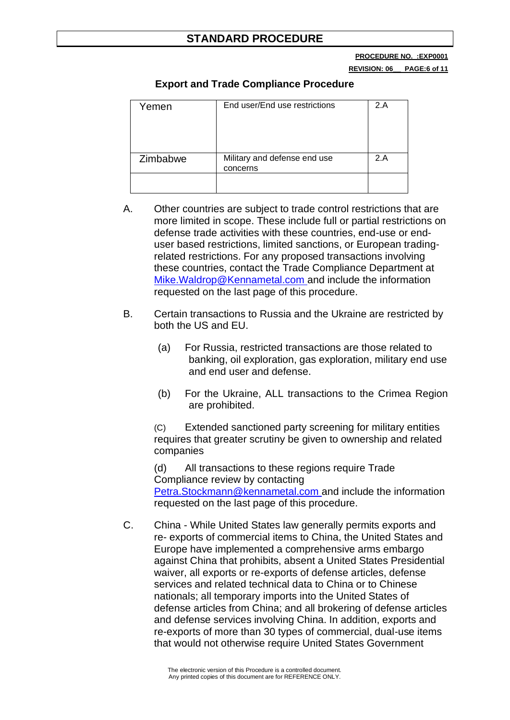**PROCEDURE NO. :EXP0001**

**REVISION: 06\_\_ PAGE:6 of 11**

#### **Export and Trade Compliance Procedure**

| Yemen    | End user/End use restrictions            | 2.A |
|----------|------------------------------------------|-----|
| Zimbabwe | Military and defense end use<br>concerns | 2.A |
|          |                                          |     |

- A. Other countries are subject to trade control restrictions that are more limited in scope. These include full or partial restrictions on defense trade activities with these countries, end-use or enduser based restrictions, limited sanctions, or European tradingrelated restrictions. For any proposed transactions involving these countries, contact the Trade Compliance Department at Mike.Waldrop@Kennametal.com and include the information requested on the last page of this procedure.
- B. Certain transactions to Russia and the Ukraine are restricted by both the US and EU.
	- (a) For Russia, restricted transactions are those related to banking, oil exploration, gas exploration, military end use and end user and defense.
	- (b) For the Ukraine, ALL transactions to the Crimea Region are prohibited.

(C) Extended sanctioned party screening for military entities requires that greater scrutiny be given to ownership and related companies

(d) All transactions to these regions require Trade Compliance review by contacting

Petra.Stockmann@kennametal.com and include the information requested on the last page of this procedure.

C. China - While United States law generally permits exports and re- exports of commercial items to China, the United States and Europe have implemented a comprehensive arms embargo against China that prohibits, absent a United States Presidential waiver, all exports or re-exports of defense articles, defense services and related technical data to China or to Chinese nationals; all temporary imports into the United States of defense articles from China; and all brokering of defense articles and defense services involving China. In addition, exports and re-exports of more than 30 types of commercial, dual-use items that would not otherwise require United States Government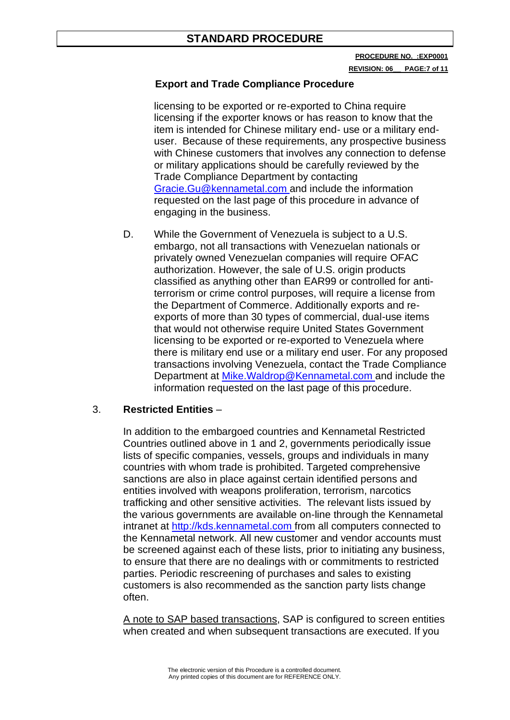**PROCEDURE NO. :EXP0001 REVISION: 06\_\_ PAGE:7 of 11**

### **Export and Trade Compliance Procedure**

licensing to be exported or re-exported to China require licensing if the exporter knows or has reason to know that the item is intended for Chinese military end- use or a military enduser. Because of these requirements, any prospective business with Chinese customers that involves any connection to defense or military applications should be carefully reviewed by the Trade Compliance Department by contacting Gracie.Gu@kennametal.com and include the information requested on the last page of this procedure in advance of engaging in the business.

D. While the Government of Venezuela is subject to a U.S. embargo, not all transactions with Venezuelan nationals or privately owned Venezuelan companies will require OFAC authorization. However, the sale of U.S. origin products classified as anything other than EAR99 or controlled for antiterrorism or crime control purposes, will require a license from the Department of Commerce. Additionally exports and reexports of more than 30 types of commercial, dual-use items that would not otherwise require United States Government licensing to be exported or re-exported to Venezuela where there is military end use or a military end user. For any proposed transactions involving Venezuela, contact the Trade Compliance Department at Mike.Waldrop@Kennametal.com and include the information requested on the last page of this procedure.

#### 3. **Restricted Entities** –

In addition to the embargoed countries and Kennametal Restricted Countries outlined above in 1 and 2, governments periodically issue lists of specific companies, vessels, groups and individuals in many countries with whom trade is prohibited. Targeted comprehensive sanctions are also in place against certain identified persons and entities involved with weapons proliferation, terrorism, narcotics trafficking and other sensitive activities. The relevant lists issued by the various governments are available on-line through the Kennametal intranet at http://kds.kennametal.com from all computers connected to the Kennametal network. All new customer and vendor accounts must be screened against each of these lists, prior to initiating any business, to ensure that there are no dealings with or commitments to restricted parties. Periodic rescreening of purchases and sales to existing customers is also recommended as the sanction party lists change often.

A note to SAP based transactions, SAP is configured to screen entities when created and when subsequent transactions are executed. If you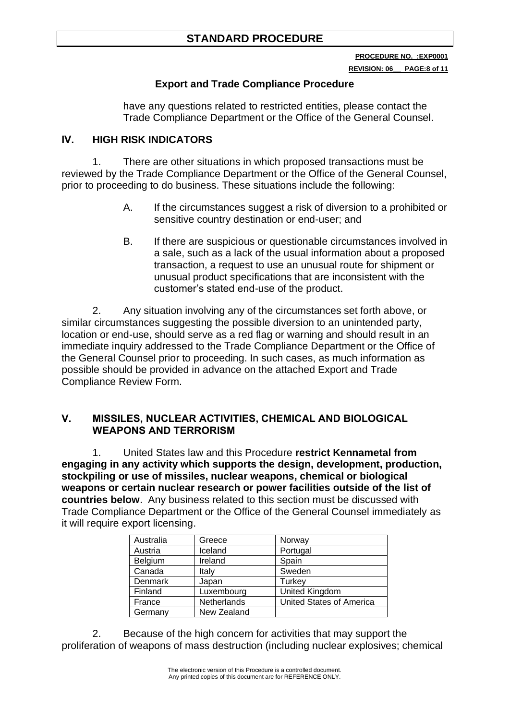**REVISION: 06\_\_ PAGE:8 of 11**

# **Export and Trade Compliance Procedure**

have any questions related to restricted entities, please contact the Trade Compliance Department or the Office of the General Counsel.

# **IV. HIGH RISK INDICATORS**

1. There are other situations in which proposed transactions must be reviewed by the Trade Compliance Department or the Office of the General Counsel, prior to proceeding to do business. These situations include the following:

- A. If the circumstances suggest a risk of diversion to a prohibited or sensitive country destination or end-user; and
- B. If there are suspicious or questionable circumstances involved in a sale, such as a lack of the usual information about a proposed transaction, a request to use an unusual route for shipment or unusual product specifications that are inconsistent with the customer's stated end-use of the product.

2. Any situation involving any of the circumstances set forth above, or similar circumstances suggesting the possible diversion to an unintended party, location or end-use, should serve as a red flag or warning and should result in an immediate inquiry addressed to the Trade Compliance Department or the Office of the General Counsel prior to proceeding. In such cases, as much information as possible should be provided in advance on the attached Export and Trade Compliance Review Form.

#### **V. MISSILES, NUCLEAR ACTIVITIES, CHEMICAL AND BIOLOGICAL WEAPONS AND TERRORISM**

1. United States law and this Procedure **restrict Kennametal from engaging in any activity which supports the design, development, production, stockpiling or use of missiles, nuclear weapons, chemical or biological weapons or certain nuclear research or power facilities outside of the list of countries below**. Any business related to this section must be discussed with Trade Compliance Department or the Office of the General Counsel immediately as it will require export licensing.

| Australia      | Greece      | Norway                   |
|----------------|-------------|--------------------------|
| Austria        | Iceland     | Portugal                 |
| Belgium        | Ireland     | Spain                    |
| Canada         | Italy       | Sweden                   |
| <b>Denmark</b> | Japan       | <b>Turkey</b>            |
| Finland        | Luxembourg  | United Kingdom           |
| France         | Netherlands | United States of America |
| Germany        | New Zealand |                          |

2. Because of the high concern for activities that may support the proliferation of weapons of mass destruction (including nuclear explosives; chemical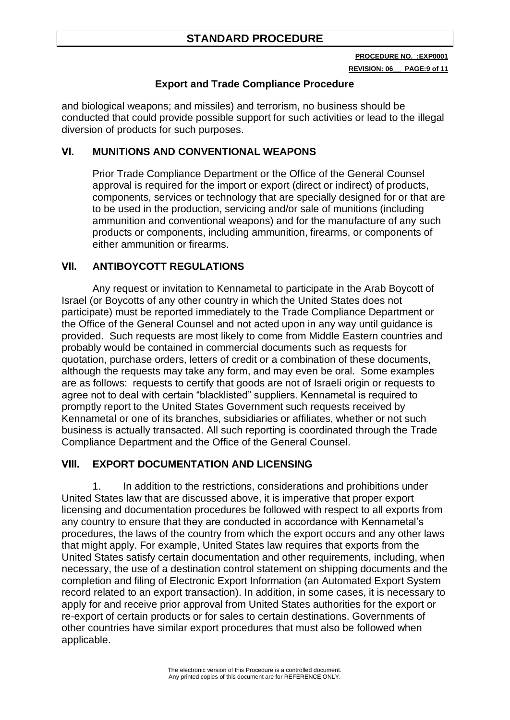**REVISION: 06\_\_ PAGE:9 of 11**

# **Export and Trade Compliance Procedure**

and biological weapons; and missiles) and terrorism, no business should be conducted that could provide possible support for such activities or lead to the illegal diversion of products for such purposes.

# **VI. MUNITIONS AND CONVENTIONAL WEAPONS**

Prior Trade Compliance Department or the Office of the General Counsel approval is required for the import or export (direct or indirect) of products, components, services or technology that are specially designed for or that are to be used in the production, servicing and/or sale of munitions (including ammunition and conventional weapons) and for the manufacture of any such products or components, including ammunition, firearms, or components of either ammunition or firearms.

# **VII. ANTIBOYCOTT REGULATIONS**

Any request or invitation to Kennametal to participate in the Arab Boycott of Israel (or Boycotts of any other country in which the United States does not participate) must be reported immediately to the Trade Compliance Department or the Office of the General Counsel and not acted upon in any way until guidance is provided. Such requests are most likely to come from Middle Eastern countries and probably would be contained in commercial documents such as requests for quotation, purchase orders, letters of credit or a combination of these documents, although the requests may take any form, and may even be oral. Some examples are as follows: requests to certify that goods are not of Israeli origin or requests to agree not to deal with certain "blacklisted" suppliers. Kennametal is required to promptly report to the United States Government such requests received by Kennametal or one of its branches, subsidiaries or affiliates, whether or not such business is actually transacted. All such reporting is coordinated through the Trade Compliance Department and the Office of the General Counsel.

# **VIII. EXPORT DOCUMENTATION AND LICENSING**

1. In addition to the restrictions, considerations and prohibitions under United States law that are discussed above, it is imperative that proper export licensing and documentation procedures be followed with respect to all exports from any country to ensure that they are conducted in accordance with Kennametal's procedures, the laws of the country from which the export occurs and any other laws that might apply. For example, United States law requires that exports from the United States satisfy certain documentation and other requirements, including, when necessary, the use of a destination control statement on shipping documents and the completion and filing of Electronic Export Information (an Automated Export System record related to an export transaction). In addition, in some cases, it is necessary to apply for and receive prior approval from United States authorities for the export or re-export of certain products or for sales to certain destinations. Governments of other countries have similar export procedures that must also be followed when applicable.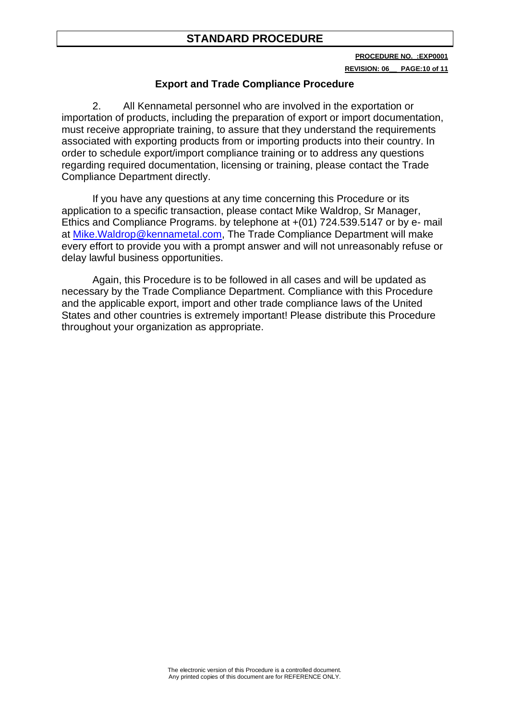**REVISION: 06\_\_ PAGE:10 of 11**

### **Export and Trade Compliance Procedure**

2. All Kennametal personnel who are involved in the exportation or importation of products, including the preparation of export or import documentation, must receive appropriate training, to assure that they understand the requirements associated with exporting products from or importing products into their country. In order to schedule export/import compliance training or to address any questions regarding required documentation, licensing or training, please contact the Trade Compliance Department directly.

If you have any questions at any time concerning this Procedure or its application to a specific transaction, please contact Mike Waldrop, Sr Manager, Ethics and Compliance Programs. by telephone at +(01) 724.539.5147 or by e- mail at Mike.Waldrop@kennametal.com, The Trade Compliance Department will make every effort to provide you with a prompt answer and will not unreasonably refuse or delay lawful business opportunities.

Again, this Procedure is to be followed in all cases and will be updated as necessary by the Trade Compliance Department. Compliance with this Procedure and the applicable export, import and other trade compliance laws of the United States and other countries is extremely important! Please distribute this Procedure throughout your organization as appropriate.